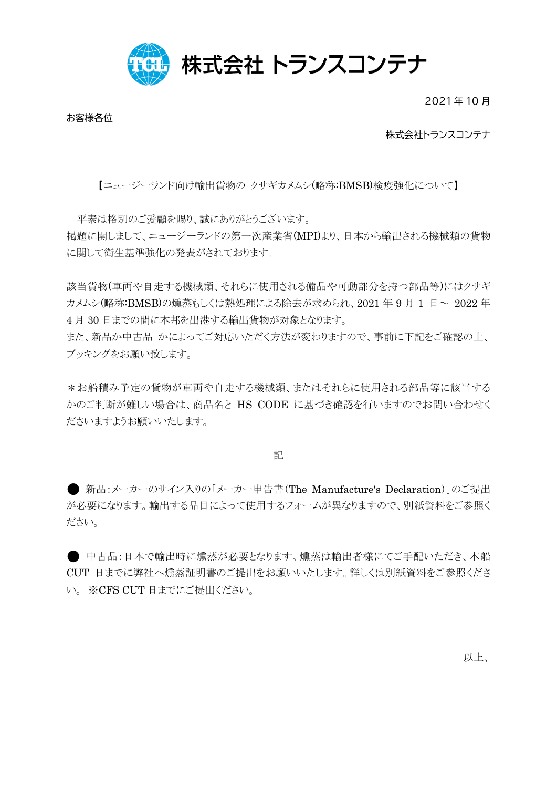

2021 年 10 月

お客様各位

## 株式会社トランスコンテナ

【ニュージーランド向け輸出貨物の クサギカメムシ(略称:BMSB)検疫強化について】

平素は格別のご愛顧を賜り、誠にありがとうございます。 掲題に関しまして、ニュージーランドの第一次産業省(MPI)より、日本から輸出される機械類の貨物 に関して衛生基準強化の発表がされております。

該当貨物(車両や自走する機械類、それらに使用される備品や可動部分を持つ部品等)にはクサギ カメムシ(略称:BMSB)の燻蒸もしくは熱処理による除去が求められ、2021年9月1日~ 2022年 4 月 30 日までの間に本邦を出港する輸出貨物が対象となります。

また、新品か中古品 かによってご対応いただく方法が変わりますので、事前に下記をご確認の上、 ブッキングをお願い致します。

\*お船積み予定の貨物が車両や自走する機械類、またはそれらに使用される部品等に該当する かのご判断が難しい場合は、商品名と HS CODE に基づき確認を行いますのでお問い合わせく ださいますようお願いいたします。

記

● 新品:メーカーのサイン入りの「メーカー申告書(The Manufacture's Declaration)」のご提出 が必要になります。輸出する品目によって使用するフォームが異なりますので、別紙資料をご参照く ださい。

● 中古品:日本で輸出時に燻蒸が必要となります。燻蒸は輸出者様にてご手配いただき、本船 CUT 日までに弊社へ燻蒸証明書のご提出をお願いいたします。詳しくは別紙資料をご参照くださ い。 ※CFS CUT 日までにご提出ください。

以上、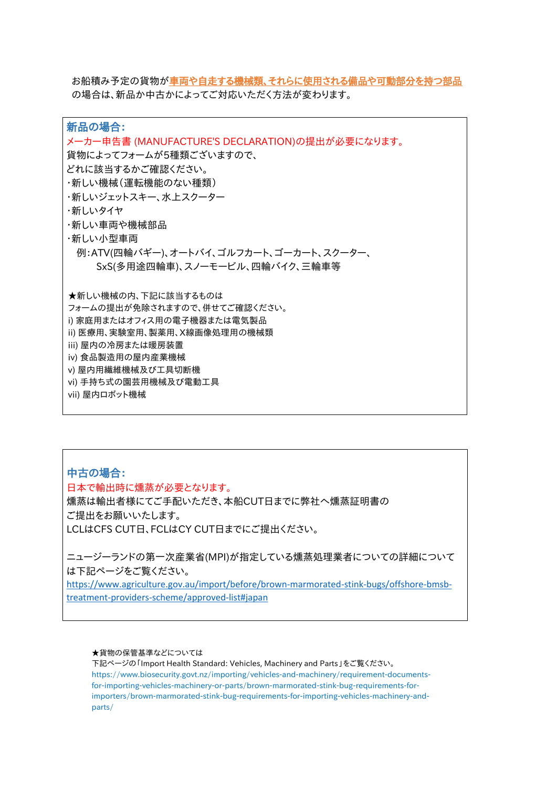お船積み予定の貨物が車両や自走する機械類、それらに使用される備品や可動部分を持つ部品 の場合は、新品か中古かによってご対応いただく方法が変わります。

新品の場合: メーカー申告書 (MANUFACTURE'S DECLARATION)の提出が必要になります。 貨物によってフォームが5種類ございますので、 どれに該当するかご確認ください。 ・新しい機械(運転機能のない種類) ・新しいジェットスキー、水上スクーター ・新しいタイヤ ・新しい車両や機械部品 ・新しい小型車両 例:ATV(四輪バギー)、オートバイ、ゴルフカート、ゴーカート、スクーター、 SxS(多用途四輪車)、スノーモービル、四輪バイク、三輪車等 ★新しい機械の内、下記に該当するものは フォームの提出が免除されますので、併せてご確認ください。 i) 家庭用またはオフィス用の電子機器または電気製品 ii) 医療用、実験室用、製薬用、X線画像処理用の機械類 iii) 屋内の冷房または暖房装置 iv) 食品製造用の屋内産業機械 v) 屋内用繊維機械及び工具切断機 vi) 手持ち式の園芸用機械及び電動工具 vii) 屋内ロボット機械

中古の場合: 日本で輸出時に燻蒸が必要となります。 燻蒸は輸出者様にてご手配いただき、本船CUT日までに弊社へ燻蒸証明書の ご提出をお願いいたします。 LCLはCFS CUT日、FCLはCY CUT日までにご提出ください。

ニュージーランドの第一次産業省(MPI)が指定している燻蒸処理業者についての詳細について は下記ページをご覧ください。

[https://www.agriculture.gov.au/import/before/brown-marmorated-stink-bugs/offshore-bmsb](https://www.agriculture.gov.au/import/before/brown-marmorated-stink-bugs/offshore-bmsb-treatment-providers-scheme/approved-list)treatment-providers-scheme/approved-list#japan

★貨物の保管基準などについては

下記ページの「Import Health Standard: Vehicles, Machinery and Parts」をご覧ください。 https://www.biosecurity.govt.nz/importing/vehicles-and-machinery/requirement-documentsfor-importing-vehicles-machinery-or-parts/brown-marmorated-stink-bug-requirements-forimporters/brown-marmorated-stink-bug-requirements-for-importing-vehicles-machinery-andparts/